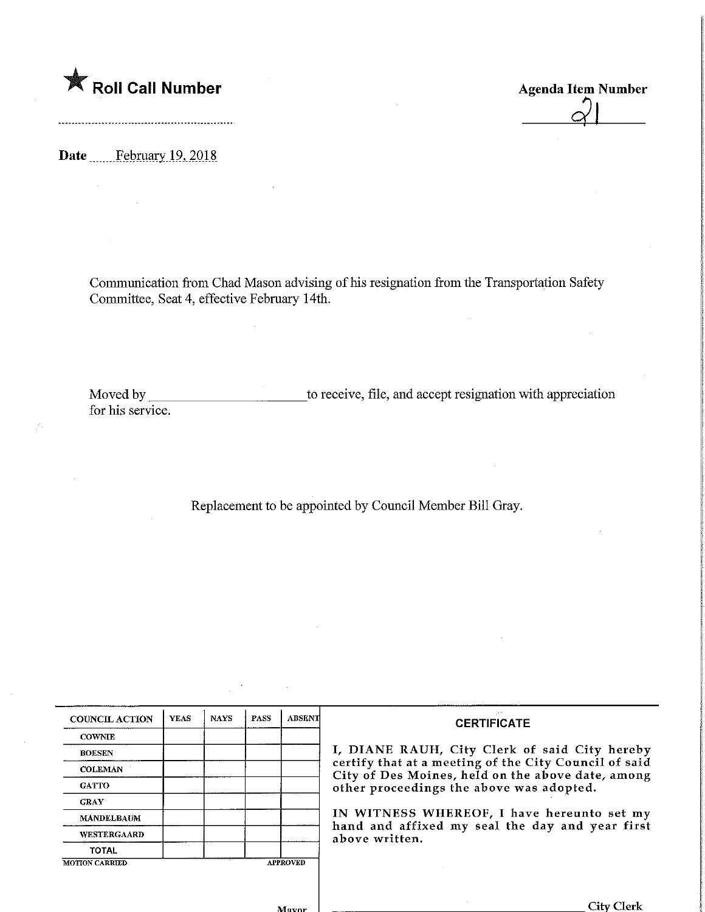

Date February 19, 2018

Communication from Chad Mason advising of his resignation from the Transportation Safety Committee, Seat 4, effective February 14th.

Moved by for his service. \_to receive, file, and accept resignation with appreciation

Replacement to be appointed by Council Member Bill Gray.

| <b>COUNCIL ACTION</b> | <b>YEAS</b>     | <b>NAYS</b> | <b>PASS</b> | <b>ABSENT</b> |
|-----------------------|-----------------|-------------|-------------|---------------|
| <b>COWNIE</b>         |                 |             |             |               |
| <b>BOESEN</b>         |                 |             |             |               |
| <b>COLEMAN</b>        |                 |             |             |               |
| <b>GATTO</b>          |                 |             |             |               |
| <b>GRAY</b>           |                 |             |             |               |
| <b>MANDELBAUM</b>     |                 |             |             |               |
| <b>WESTERGAARD</b>    |                 |             |             |               |
| <b>TOTAL</b>          |                 |             |             |               |
| <b>MOTION CARRIED</b> | <b>APPROVED</b> |             |             |               |

## **CERTIFICATE**

I, DIANE RAUH, City Clerk of said City hereby certify that at a meeting of the City Council of said City of Des Moines, held on the above date, among other proceedings the above was adopted.

IN WITNESS WHEREOF, I have hereunto set my hand and affixed my seal the day and year first above written.

 $M<sub>avor</sub>$ 

**City Clerk** 

Agenda Item Number